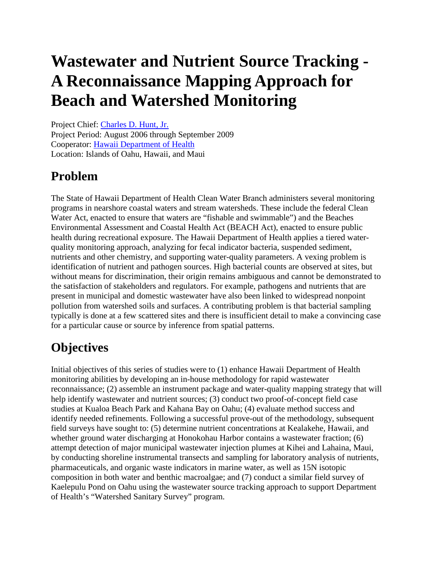# **Wastewater and Nutrient Source Tracking - A Reconnaissance Mapping Approach for Beach and Watershed Monitoring**

Project Chief: [Charles D. Hunt, Jr.](mailto:cdhunt@usgs.gov) Project Period: August 2006 through September 2009 Cooperator: [Hawaii Department of Health](http://www.hawaii.gov/health/environmental/water/cleanwater/index.html) Location: Islands of Oahu, Hawaii, and Maui

### **Problem**

The State of Hawaii Department of Health Clean Water Branch administers several monitoring programs in nearshore coastal waters and stream watersheds. These include the federal Clean Water Act, enacted to ensure that waters are "fishable and swimmable") and the Beaches Environmental Assessment and Coastal Health Act (BEACH Act), enacted to ensure public health during recreational exposure. The Hawaii Department of Health applies a tiered waterquality monitoring approach, analyzing for fecal indicator bacteria, suspended sediment, nutrients and other chemistry, and supporting water-quality parameters. A vexing problem is identification of nutrient and pathogen sources. High bacterial counts are observed at sites, but without means for discrimination, their origin remains ambiguous and cannot be demonstrated to the satisfaction of stakeholders and regulators. For example, pathogens and nutrients that are present in municipal and domestic wastewater have also been linked to widespread nonpoint pollution from watershed soils and surfaces. A contributing problem is that bacterial sampling typically is done at a few scattered sites and there is insufficient detail to make a convincing case for a particular cause or source by inference from spatial patterns.

# **Objectives**

Initial objectives of this series of studies were to (1) enhance Hawaii Department of Health monitoring abilities by developing an in-house methodology for rapid wastewater reconnaissance; (2) assemble an instrument package and water-quality mapping strategy that will help identify wastewater and nutrient sources; (3) conduct two proof-of-concept field case studies at Kualoa Beach Park and Kahana Bay on Oahu; (4) evaluate method success and identify needed refinements. Following a successful prove-out of the methodology, subsequent field surveys have sought to: (5) determine nutrient concentrations at Kealakehe, Hawaii, and whether ground water discharging at Honokohau Harbor contains a wastewater fraction; (6) attempt detection of major municipal wastewater injection plumes at Kihei and Lahaina, Maui, by conducting shoreline instrumental transects and sampling for laboratory analysis of nutrients, pharmaceuticals, and organic waste indicators in marine water, as well as 15N isotopic composition in both water and benthic macroalgae; and (7) conduct a similar field survey of Kaelepulu Pond on Oahu using the wastewater source tracking approach to support Department of Health's "Watershed Sanitary Survey" program.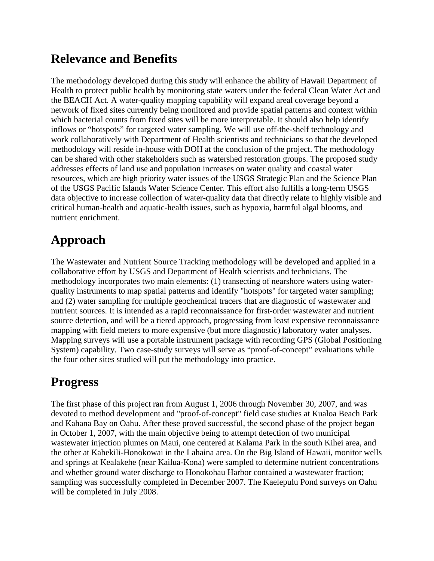#### **Relevance and Benefits**

The methodology developed during this study will enhance the ability of Hawaii Department of Health to protect public health by monitoring state waters under the federal Clean Water Act and the BEACH Act. A water-quality mapping capability will expand areal coverage beyond a network of fixed sites currently being monitored and provide spatial patterns and context within which bacterial counts from fixed sites will be more interpretable. It should also help identify inflows or "hotspots" for targeted water sampling. We will use off-the-shelf technology and work collaboratively with Department of Health scientists and technicians so that the developed methodology will reside in-house with DOH at the conclusion of the project. The methodology can be shared with other stakeholders such as watershed restoration groups. The proposed study addresses effects of land use and population increases on water quality and coastal water resources, which are high priority water issues of the USGS Strategic Plan and the Science Plan of the USGS Pacific Islands Water Science Center. This effort also fulfills a long-term USGS data objective to increase collection of water-quality data that directly relate to highly visible and critical human-health and aquatic-health issues, such as hypoxia, harmful algal blooms, and nutrient enrichment.

## **Approach**

The Wastewater and Nutrient Source Tracking methodology will be developed and applied in a collaborative effort by USGS and Department of Health scientists and technicians. The methodology incorporates two main elements: (1) transecting of nearshore waters using waterquality instruments to map spatial patterns and identify "hotspots" for targeted water sampling; and (2) water sampling for multiple geochemical tracers that are diagnostic of wastewater and nutrient sources. It is intended as a rapid reconnaissance for first-order wastewater and nutrient source detection, and will be a tiered approach, progressing from least expensive reconnaissance mapping with field meters to more expensive (but more diagnostic) laboratory water analyses. Mapping surveys will use a portable instrument package with recording GPS (Global Positioning System) capability. Two case-study surveys will serve as "proof-of-concept" evaluations while the four other sites studied will put the methodology into practice.

### **Progress**

The first phase of this project ran from August 1, 2006 through November 30, 2007, and was devoted to method development and "proof-of-concept" field case studies at Kualoa Beach Park and Kahana Bay on Oahu. After these proved successful, the second phase of the project began in October 1, 2007, with the main objective being to attempt detection of two municipal wastewater injection plumes on Maui, one centered at Kalama Park in the south Kihei area, and the other at Kahekili-Honokowai in the Lahaina area. On the Big Island of Hawaii, monitor wells and springs at Kealakehe (near Kailua-Kona) were sampled to determine nutrient concentrations and whether ground water discharge to Honokohau Harbor contained a wastewater fraction; sampling was successfully completed in December 2007. The Kaelepulu Pond surveys on Oahu will be completed in July 2008.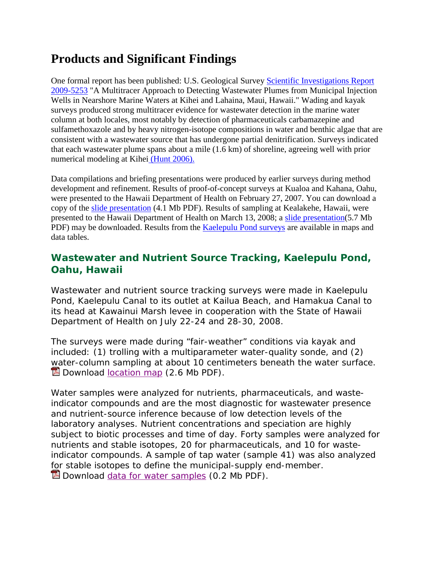#### **Products and Significant Findings**

One formal report has been published: U.S. Geological Survey [Scientific Investigations Report](http://pubs.usgs.gov/sir/2009/5253/)  [2009-5253](http://pubs.usgs.gov/sir/2009/5253/) "A Multitracer Approach to Detecting Wastewater Plumes from Municipal Injection Wells in Nearshore Marine Waters at Kihei and Lahaina, Maui, Hawaii." Wading and kayak surveys produced strong multitracer evidence for wastewater detection in the marine water column at both locales, most notably by detection of pharmaceuticals carbamazepine and sulfamethoxazole and by heavy nitrogen-isotope compositions in water and benthic algae that are consistent with a wastewater source that has undergone partial denitrification. Surveys indicated that each wastewater plume spans about a mile (1.6 km) of shoreline, agreeing well with prior numerical modeling at Kihei [\(Hunt 2006\).](http://pubs.usgs.gov/sir/2006/5283/)

Data compilations and briefing presentations were produced by earlier surveys during method development and refinement. Results of proof-of-concept surveys at Kualoa and Kahana, Oahu, were presented to the Hawaii Department of Health on February 27, 2007. You can download a copy of the [slide presentation](http://hi.water.usgs.gov/studies/beachmonitoring/pdf/USGS_DOH_Sourcetracking_slides.pdf) (4.1 Mb PDF). Results of sampling at Kealakehe, Hawaii, were presented to the Hawaii Department of Health on March 13, 2008; a [slide presentation\(](http://hi.water.usgs.gov/studies/beachmonitoring/pdf/USGS_DOH_Kealakehe_Kona_slides.pdf)5.7 Mb PDF) may be downloaded. Results from the **Kaelepulu Pond surveys** are available in maps and data tables.

#### **Wastewater and Nutrient Source Tracking, Kaelepulu Pond, Oahu, Hawaii**

Wastewater and nutrient source tracking surveys were made in Kaelepulu Pond, Kaelepulu Canal to its outlet at Kailua Beach, and Hamakua Canal to its head at Kawainui Marsh levee in cooperation with the State of Hawaii Department of Health on July 22-24 and 28-30, 2008.

The surveys were made during "fair-weather" conditions via kayak and included: (1) trolling with a multiparameter water-quality sonde, and (2) [wa](http://hi.water.usgs.gov/studies/kaelepulu/files/map_of_sample_sites.pdf)ter-column sampling at about 10 centimeters beneath the water surface. **D** Download [location map](http://hi.water.usgs.gov/studies/kaelepulu/files/map_of_sample_sites.pdf) (2.6 Mb PDF).

Water samples were analyzed for nutrients, pharmaceuticals, and wasteindicator compounds and are the most diagnostic for wastewater presence and nutrient-source inference because of low detection levels of the laboratory analyses. Nutrient concentrations and speciation are highly subject to biotic processes and time of day. Forty samples were analyzed for nutrients and stable isotopes, 20 for pharmaceuticals, and 10 for wasteindicator compounds. A sample of tap water (sample 41) was also analyzed for stable isotopes to define the municipal-supply end-member.  $\mathbb{\Sigma}$  Download [data for water samples](http://hi.water.usgs.gov/studies/kaelepulu/files/data_water_samples_lab_results.pdf) (0.2 Mb PDF).